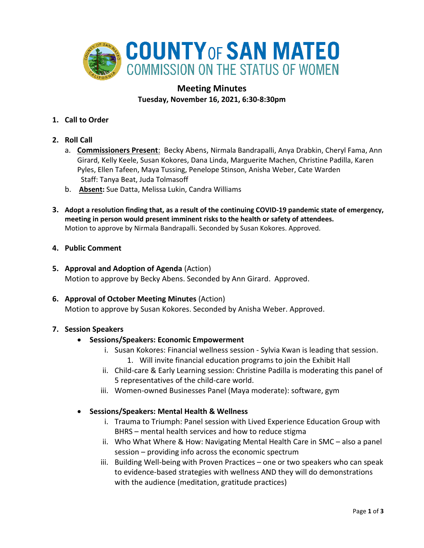

# **Meeting Minutes Tuesday, November 16, 2021, 6:30-8:30pm**

- **1. Call to Order**
- **2. Roll Call**
	- a. **Commissioners Present**: Becky Abens, Nirmala Bandrapalli, Anya Drabkin, Cheryl Fama, Ann Girard, Kelly Keele, Susan Kokores, Dana Linda, Marguerite Machen, Christine Padilla, Karen Pyles, Ellen Tafeen, Maya Tussing, Penelope Stinson, Anisha Weber, Cate Warden Staff: Tanya Beat, Juda Tolmasoff
	- b. **Absent:** Sue Datta, Melissa Lukin, Candra Williams
- **3. Adopt a resolution finding that, as a result of the continuing COVID-19 pandemic state of emergency, meeting in person would present imminent risks to the health or safety of attendees.** Motion to approve by Nirmala Bandrapalli. Seconded by Susan Kokores. Approved.
- **4. Public Comment**
- **5. Approval and Adoption of Agenda** (Action) Motion to approve by Becky Abens. Seconded by Ann Girard. Approved.
- **6. Approval of October Meeting Minutes** (Action) Motion to approve by Susan Kokores. Seconded by Anisha Weber. Approved.

### **7. Session Speakers**

- **Sessions/Speakers: Economic Empowerment**
	- i. Susan Kokores: Financial wellness session Sylvia Kwan is leading that session.
		- 1. Will invite financial education programs to join the Exhibit Hall
	- ii. Child-care & Early Learning session: Christine Padilla is moderating this panel of 5 representatives of the child-care world.
	- iii. Women-owned Businesses Panel (Maya moderate): software, gym
- **Sessions/Speakers: Mental Health & Wellness**
	- i. Trauma to Triumph: Panel session with Lived Experience Education Group with BHRS – mental health services and how to reduce stigma
	- ii. Who What Where & How: Navigating Mental Health Care in SMC also a panel session – providing info across the economic spectrum
	- iii. Building Well-being with Proven Practices one or two speakers who can speak to evidence-based strategies with wellness AND they will do demonstrations with the audience (meditation, gratitude practices)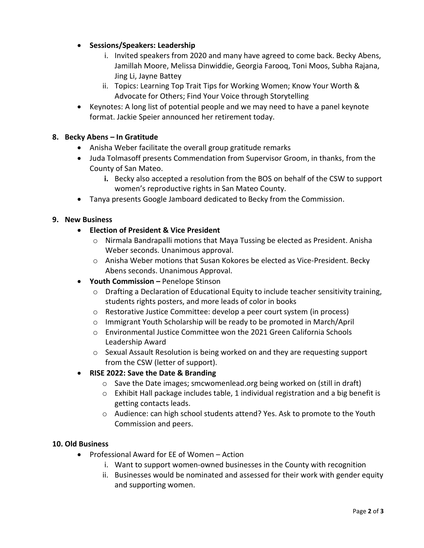- **Sessions/Speakers: Leadership**
	- i. Invited speakers from 2020 and many have agreed to come back. Becky Abens, Jamillah Moore, Melissa Dinwiddie, Georgia Farooq, Toni Moos, Subha Rajana, Jing Li, Jayne Battey
	- ii. Topics: Learning Top Trait Tips for Working Women; Know Your Worth & Advocate for Others; Find Your Voice through Storytelling
- Keynotes: A long list of potential people and we may need to have a panel keynote format. Jackie Speier announced her retirement today.

## **8. Becky Abens – In Gratitude**

- Anisha Weber facilitate the overall group gratitude remarks
- Juda Tolmasoff presents Commendation from Supervisor Groom, in thanks, from the County of San Mateo.
	- **i.** Becky also accepted a resolution from the BOS on behalf of the CSW to support women's reproductive rights in San Mateo County.
- Tanya presents Google Jamboard dedicated to Becky from the Commission.

### **9. New Business**

- **Election of President & Vice President**
	- o Nirmala Bandrapalli motions that Maya Tussing be elected as President. Anisha Weber seconds. Unanimous approval.
	- o Anisha Weber motions that Susan Kokores be elected as Vice-President. Becky Abens seconds. Unanimous Approval.
- **Youth Commission –** Penelope Stinson
	- $\circ$  Drafting a Declaration of Educational Equity to include teacher sensitivity training, students rights posters, and more leads of color in books
	- o Restorative Justice Committee: develop a peer court system (in process)
	- o Immigrant Youth Scholarship will be ready to be promoted in March/April
	- o Environmental Justice Committee won the 2021 Green California Schools Leadership Award
	- o Sexual Assault Resolution is being worked on and they are requesting support from the CSW (letter of support).

### • **RISE 2022: Save the Date & Branding**

- $\circ$  Save the Date images; smcwomenlead.org being worked on (still in draft)
- $\circ$  Exhibit Hall package includes table, 1 individual registration and a big benefit is getting contacts leads.
- o Audience: can high school students attend? Yes. Ask to promote to the Youth Commission and peers.

### **10. Old Business**

- Professional Award for EE of Women Action
	- i. Want to support women-owned businesses in the County with recognition
	- ii. Businesses would be nominated and assessed for their work with gender equity and supporting women.